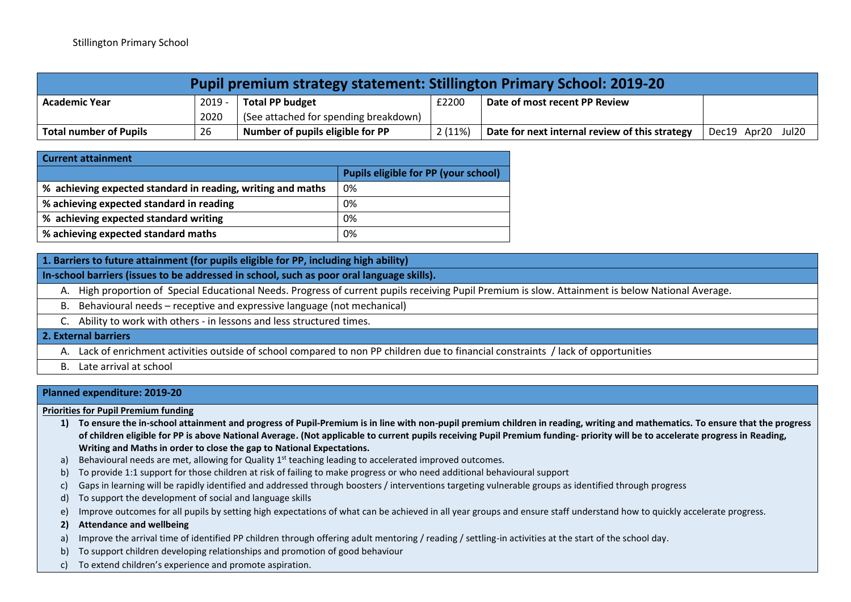| <b>Pupil premium strategy statement: Stillington Primary School: 2019-20</b> |          |                                       |         |                                                |                   |  |  |
|------------------------------------------------------------------------------|----------|---------------------------------------|---------|------------------------------------------------|-------------------|--|--|
| <b>Academic Year</b>                                                         | $2019 -$ | Total PP budget                       | £2200   | Date of most recent PP Review                  |                   |  |  |
|                                                                              | 2020     | (See attached for spending breakdown) |         |                                                |                   |  |  |
| <b>Total number of Pupils</b>                                                | 26       | Number of pupils eligible for PP      | 2 (11%) | Date for next internal review of this strategy | Dec19 Apr20 Jul20 |  |  |

| <b>Current attainment</b>                                   |                                      |  |  |  |
|-------------------------------------------------------------|--------------------------------------|--|--|--|
|                                                             | Pupils eligible for PP (your school) |  |  |  |
| % achieving expected standard in reading, writing and maths | 0%                                   |  |  |  |
| % achieving expected standard in reading                    | 0%                                   |  |  |  |
| % achieving expected standard writing                       | 0%                                   |  |  |  |
| % achieving expected standard maths                         | 0%                                   |  |  |  |

**1. Barriers to future attainment (for pupils eligible for PP, including high ability)** 

# **In-school barriers (issues to be addressed in school, such as poor oral language skills).**

- A. High proportion of Special Educational Needs. Progress of current pupils receiving Pupil Premium is slow. Attainment is below National Average.
- B. Behavioural needs receptive and expressive language (not mechanical)
- C. Ability to work with others in lessons and less structured times.

### **2. External barriers**

- A. Lack of enrichment activities outside of school compared to non PP children due to financial constraints / lack of opportunities
- B. Late arrival at school

## **Planned expenditure: 2019-20**

### **Priorities for Pupil Premium funding**

- **1) To ensure the in-school attainment and progress of Pupil-Premium is in line with non-pupil premium children in reading, writing and mathematics. To ensure that the progress of children eligible for PP is above National Average. (Not applicable to current pupils receiving Pupil Premium funding- priority will be to accelerate progress in Reading, Writing and Maths in order to close the gap to National Expectations.**
- a) Behavioural needs are met, allowing for Quality  $1<sup>st</sup>$  teaching leading to accelerated improved outcomes.
- b) To provide 1:1 support for those children at risk of failing to make progress or who need additional behavioural support
- c) Gaps in learning will be rapidly identified and addressed through boosters / interventions targeting vulnerable groups as identified through progress
- d) To support the development of social and language skills
- e) Improve outcomes for all pupils by setting high expectations of what can be achieved in all year groups and ensure staff understand how to quickly accelerate progress.

## **2) Attendance and wellbeing**

- a) Improve the arrival time of identified PP children through offering adult mentoring / reading / settling-in activities at the start of the school day.
- b) To support children developing relationships and promotion of good behaviour
- c) To extend children's experience and promote aspiration.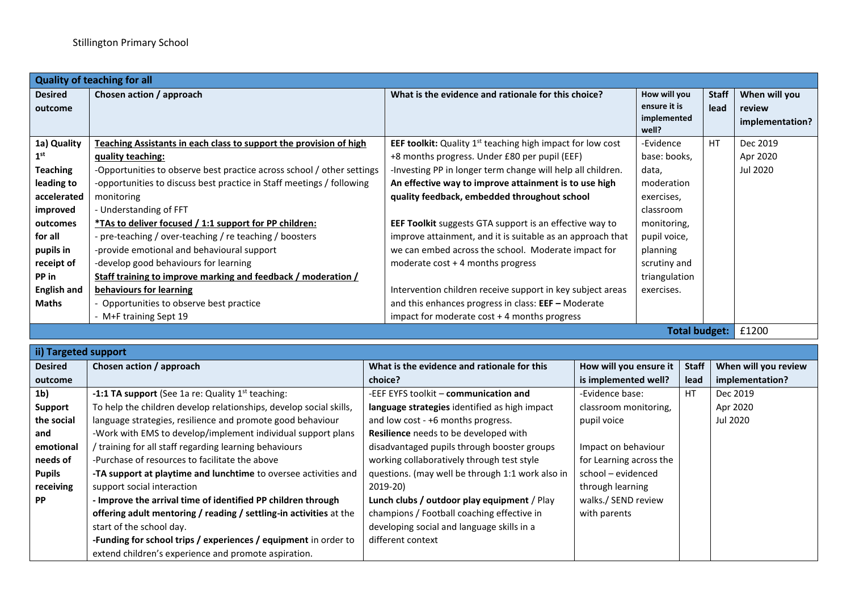| <b>Quality of teaching for all</b> |                                                                        |                                                                     |                      |              |                 |  |
|------------------------------------|------------------------------------------------------------------------|---------------------------------------------------------------------|----------------------|--------------|-----------------|--|
| <b>Desired</b>                     | Chosen action / approach                                               | What is the evidence and rationale for this choice?                 | How will you         | <b>Staff</b> | When will you   |  |
| outcome                            |                                                                        |                                                                     | ensure it is         | lead         | review          |  |
|                                    |                                                                        |                                                                     | implemented<br>well? |              | implementation? |  |
| 1a) Quality                        | Teaching Assistants in each class to support the provision of high     | <b>EEF toolkit:</b> Quality $1st$ teaching high impact for low cost | -Evidence            | HT.          | Dec 2019        |  |
| 1 <sup>st</sup>                    | quality teaching:                                                      | +8 months progress. Under £80 per pupil (EEF)                       | base: books,         |              | Apr 2020        |  |
| <b>Teaching</b>                    | -Opportunities to observe best practice across school / other settings | -Investing PP in longer term change will help all children.         | data,                |              | Jul 2020        |  |
| leading to                         | -opportunities to discuss best practice in Staff meetings / following  | An effective way to improve attainment is to use high               | moderation           |              |                 |  |
| accelerated                        | monitoring                                                             | quality feedback, embedded throughout school                        | exercises,           |              |                 |  |
| improved                           | - Understanding of FFT                                                 |                                                                     | classroom            |              |                 |  |
| outcomes                           | *TAs to deliver focused / 1:1 support for PP children:                 | EEF Toolkit suggests GTA support is an effective way to             | monitoring,          |              |                 |  |
| for all                            | - pre-teaching / over-teaching / re teaching / boosters                | improve attainment, and it is suitable as an approach that          | pupil voice,         |              |                 |  |
| pupils in                          | -provide emotional and behavioural support                             | we can embed across the school. Moderate impact for                 | planning             |              |                 |  |
| receipt of                         | -develop good behaviours for learning                                  | moderate $cost + 4$ months progress                                 | scrutiny and         |              |                 |  |
| PP in                              | Staff training to improve marking and feedback / moderation /          |                                                                     | triangulation        |              |                 |  |
| <b>English and</b>                 | behaviours for learning                                                | Intervention children receive support in key subject areas          | exercises.           |              |                 |  |
| Maths                              | Opportunities to observe best practice                                 | and this enhances progress in class: $EEF -$ Moderate               |                      |              |                 |  |
|                                    | - M+F training Sept 19                                                 | impact for moderate $cost + 4$ months progress                      |                      |              |                 |  |

**Total budget:** £1200

| ii) Targeted support |                                                                    |                                                  |                         |              |                      |  |
|----------------------|--------------------------------------------------------------------|--------------------------------------------------|-------------------------|--------------|----------------------|--|
| <b>Desired</b>       | Chosen action / approach                                           | What is the evidence and rationale for this      | How will you ensure it  | <b>Staff</b> | When will you review |  |
| outcome              |                                                                    | choice?                                          | is implemented well?    | lead         | implementation?      |  |
| 1b)                  | <b>-1:1 TA support</b> (See 1a re: Quality $1st$ teaching:         | -EEF EYFS toolkit - communication and            | -Evidence base:         | <b>HT</b>    | Dec 2019             |  |
| <b>Support</b>       | To help the children develop relationships, develop social skills, | language strategies identified as high impact    | classroom monitoring,   |              | Apr 2020             |  |
| the social           | language strategies, resilience and promote good behaviour         | and low cost - +6 months progress.               | pupil voice             |              | Jul 2020             |  |
| and                  | -Work with EMS to develop/implement individual support plans       | Resilience needs to be developed with            |                         |              |                      |  |
| emotional            | training for all staff regarding learning behaviours               | disadvantaged pupils through booster groups      | Impact on behaviour     |              |                      |  |
| needs of             | -Purchase of resources to facilitate the above                     | working collaboratively through test style       | for Learning across the |              |                      |  |
| <b>Pupils</b>        | -TA support at playtime and lunchtime to oversee activities and    | questions. (may well be through 1:1 work also in | school - evidenced      |              |                      |  |
| receiving            | support social interaction                                         | 2019-20)                                         | through learning        |              |                      |  |
| <b>PP</b>            | - Improve the arrival time of identified PP children through       | Lunch clubs / outdoor play equipment / Play      | walks./ SEND review     |              |                      |  |
|                      | offering adult mentoring / reading / settling-in activities at the | champions / Football coaching effective in       | with parents            |              |                      |  |
|                      | start of the school day.                                           | developing social and language skills in a       |                         |              |                      |  |
|                      | -Funding for school trips / experiences / equipment in order to    | different context                                |                         |              |                      |  |
|                      | extend children's experience and promote aspiration.               |                                                  |                         |              |                      |  |